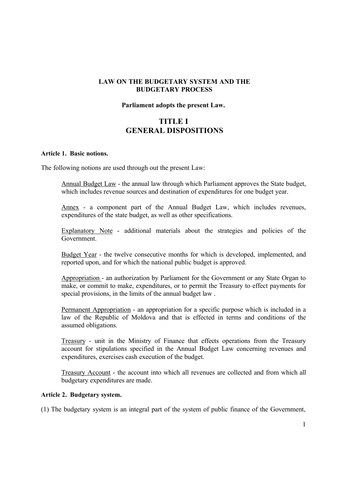# **LAW ON THE BUDGETARY SYSTEM AND THE BUDGETARY PROCESS**

### **Parliament adopts the present Law.**

# **TITLE I GENERAL DISPOSITIONS**

### **Article 1. Basic notions.**

The following notions are used through out the present Law:

Annual Budget Law - the annual law through which Parliament approves the State budget, which includes revenue sources and destination of expenditures for one budget year.

Annex - a component part of the Annual Budget Law, which includes revenues, expenditures of the state budget, as well as other specifications.

Explanatory Note - additional materials about the strategies and policies of the Government.

Budget Year - the twelve consecutive months for which is developed, implemented, and reported upon, and for which the national public budget is approved.

Appropriation - an authorization by Parliament for the Government or any State Organ to make, or commit to make, expenditures, or to permit the Treasury to effect payments for special provisions, in the limits of the annual budget law .

Permanent Appropriation - an appropriation for a specific purpose which is included in a law of the Republic of Moldova and that is effected in terms and conditions of the assumed obligations.

Treasury - unit in the Ministry of Finance that effects operations from the Treasury account for stipulations specified in the Annual Budget Law concerning revenues and expenditures, exercises cash execution of the budget.

Treasury Account - the account into which all revenues are collected and from which all budgetary expenditures are made.

### **Article 2. Budgetary system.**

(1) The budgetary system is an integral part of the system of public finance of the Government,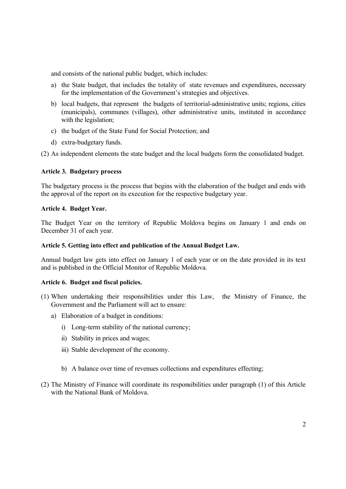and consists of the national public budget, which includes:

- a) the State budget, that includes the totality of state revenues and expenditures, necessary for the implementation of the Government's strategies and objectives.
- b) local budgets, that represent the budgets of territorial-administrative units; regions, cities (municipals), communes (villages), other administrative units, instituted in accordance with the legislation;
- c) the budget of the State Fund for Social Protection; and
- d) extra-budgetary funds.

(2) As independent elements the state budget and the local budgets form the consolidated budget.

# **Article 3. Budgetary process**

The budgetary process is the process that begins with the elaboration of the budget and ends with the approval of the report on its execution for the respective budgetary year.

# **Article 4. Budget Year.**

The Budget Year on the territory of Republic Moldova begins on January 1 and ends on December 31 of each year.

# **Article 5. Getting into effect and publication of the Annual Budget Law.**

Annual budget law gets into effect on January 1 of each year or on the date provided in its text and is published in the Official Monitor of Republic Moldova.

# **Article 6. Budget and fiscal policies.**

- (1) When undertaking their responsibilities under this Law, the Ministry of Finance, the Government and the Parliament will act to ensure:
	- a) Elaboration of a budget in conditions:
		- i) Long-term stability of the national currency;
		- ii) Stability in prices and wages;
		- iii) Stable development of the economy.
		- b) A balance over time of revenues collections and expenditures effecting;
- (2) The Ministry of Finance will coordinate its responsibilities under paragraph (1) of this Article with the National Bank of Moldova.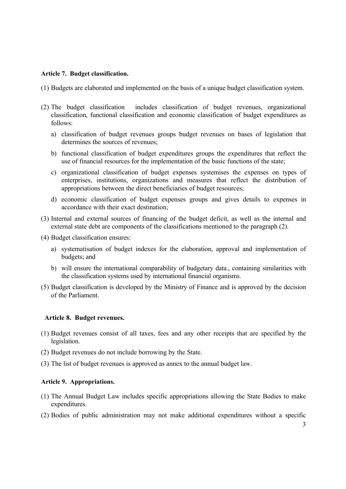### **Article 7. Budget classification.**

- (1) Budgets are elaborated and implemented on the basis of a unique budget classification system.
- (2) The budget classification includes classification of budget revenues, organizational classification, functional classification and economic classification of budget expenditures as follows:
	- a) classification of budget revenues groups budget revenues on bases of legislation that determines the sources of revenues.
	- b) functional classification of budget expenditures groups the expenditures that reflect the use of financial resources for the implementation of the basic functions of the state;
	- c) organizational classification of budget expenses systemises the expenses on types of enterprises, institutions, organizations and measures that reflect the distribution of appropriations between the direct beneficiaries of budget resources;
	- d) economic classification of budget expenses groups and gives details to expenses in accordance with their exact destination;
- (3) Internal and external sources of financing of the budget deficit, as well as the internal and external state debt are components of the classifications mentioned to the paragraph (2).
- (4) Budget classification ensures:
	- a) systematisation of budget indexes for the elaboration, approval and implementation of budgets; and
	- b) will ensure the international comparability of budgetary data., containing similarities with the classification systems used by international financial organisms.
- (5) Budget classification is developed by the Ministry of Finance and is approved by the decision of the Parliament.

#### **Article 8. Budget revenues.**

- (1) Budget revenues consist of all taxes, fees and any other receipts that are specified by the legislation.
- (2) Budget revenues do not include borrowing by the State.
- (3) The list of budget revenues is approved as annex to the annual budget law.

#### **Article 9. Appropriations.**

- (1) The Annual Budget Law includes specific appropriations allowing the State Bodies to make expenditures.
- (2) Bodies of public administration may not make additional expenditures without a specific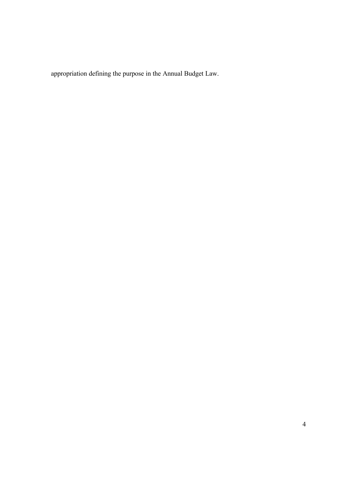appropriation defining the purpose in the Annual Budget Law.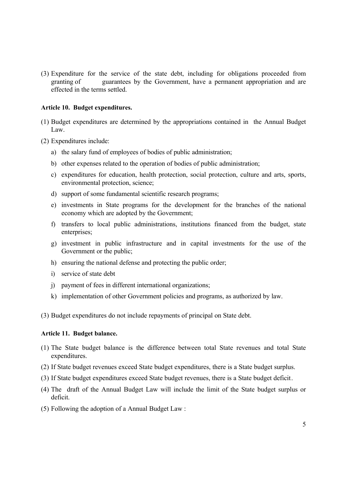(3) Expenditure for the service of the state debt, including for obligations proceeded from granting of guarantees by the Government, have a permanent appropriation and are effected in the terms settled.

## **Article 10. Budget expenditures.**

- (1) Budget expenditures are determined by the appropriations contained in the Annual Budget Law.
- (2) Expenditures include:
	- a) the salary fund of employees of bodies of public administration;
	- b) other expenses related to the operation of bodies of public administration;
	- c) expenditures for education, health protection, social protection, culture and arts, sports, environmental protection, science;
	- d) support of some fundamental scientific research programs;
	- e) investments in State programs for the development for the branches of the national economy which are adopted by the Government;
	- f) transfers to local public administrations, institutions financed from the budget, state enterprises;
	- g) investment in public infrastructure and in capital investments for the use of the Government or the public;
	- h) ensuring the national defense and protecting the public order;
	- i) service of state debt
	- j) payment of fees in different international organizations;
	- k) implementation of other Government policies and programs, as authorized by law.

(3) Budget expenditures do not include repayments of principal on State debt.

### **Article 11. Budget balance.**

- (1) The State budget balance is the difference between total State revenues and total State expenditures.
- (2) If State budget revenues exceed State budget expenditures, there is a State budget surplus.
- (3) If State budget expenditures exceed State budget revenues, there is a State budget deficit.
- (4) The draft of the Annual Budget Law will include the limit of the State budget surplus or deficit.
- (5) Following the adoption of a Annual Budget Law :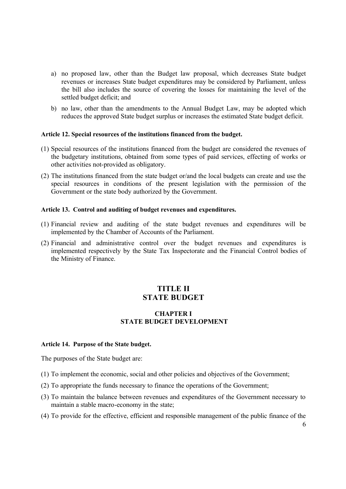- a) no proposed law, other than the Budget law proposal, which decreases State budget revenues or increases State budget expenditures may be considered by Parliament, unless the bill also includes the source of covering the losses for maintaining the level of the settled budget deficit; and
- b) no law, other than the amendments to the Annual Budget Law, may be adopted which reduces the approved State budget surplus or increases the estimated State budget deficit.

### **Article 12. Special resources of the institutions financed from the budget.**

- (1) Special resources of the institutions financed from the budget are considered the revenues of the budgetary institutions, obtained from some types of paid services, effecting of works or other activities not-provided as obligatory.
- (2) The institutions financed from the state budget or/and the local budgets can create and use the special resources in conditions of the present legislation with the permission of the Government or the state body authorized by the Government.

### **Article 13. Control and auditing of budget revenues and expenditures.**

- (1) Financial review and auditing of the state budget revenues and expenditures will be implemented by the Chamber of Accounts of the Parliament.
- (2) Financial and administrative control over the budget revenues and expenditures is implemented respectively by the State Tax Inspectorate and the Financial Control bodies of the Ministry of Finance.

# **TITLE II STATE BUDGET**

# **CHAPTER I STATE BUDGET DEVELOPMENT**

#### **Article 14. Purpose of the State budget.**

The purposes of the State budget are:

- (1) To implement the economic, social and other policies and objectives of the Government;
- (2) To appropriate the funds necessary to finance the operations of the Government;
- (3) To maintain the balance between revenues and expenditures of the Government necessary to maintain a stable macro-economy in the state;
- (4) To provide for the effective, efficient and responsible management of the public finance of the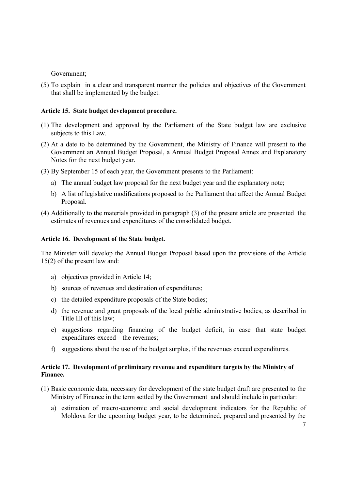## Government;

(5) To explain in a clear and transparent manner the policies and objectives of the Government that shall be implemented by the budget.

## **Article 15. State budget development procedure.**

- (1) The development and approval by the Parliament of the State budget law are exclusive subjects to this Law.
- (2) At a date to be determined by the Government, the Ministry of Finance will present to the Government an Annual Budget Proposal, a Annual Budget Proposal Annex and Explanatory Notes for the next budget year.
- (3) By September 15 of each year, the Government presents to the Parliament:
	- a) The annual budget law proposal for the next budget year and the explanatory note;
	- b) A list of legislative modifications proposed to the Parliament that affect the Annual Budget Proposal.
- (4) Additionally to the materials provided in paragraph (3) of the present article are presented the estimates of revenues and expenditures of the consolidated budget.

### **Article 16. Development of the State budget.**

The Minister will develop the Annual Budget Proposal based upon the provisions of the Article 15(2) of the present law and:

- a) objectives provided in Article 14;
- b) sources of revenues and destination of expenditures;
- c) the detailed expenditure proposals of the State bodies;
- d) the revenue and grant proposals of the local public administrative bodies, as described in Title III of this law;
- e) suggestions regarding financing of the budget deficit, in case that state budget expenditures exceed the revenues;
- f) suggestions about the use of the budget surplus, if the revenues exceed expenditures.

## **Article 17. Development of preliminary revenue and expenditure targets by the Ministry of Finance.**

- (1) Basic economic data, necessary for development of the state budget draft are presented to the Ministry of Finance in the term settled by the Government and should include in particular:
	- a) estimation of macro-economic and social development indicators for the Republic of Moldova for the upcoming budget year, to be determined, prepared and presented by the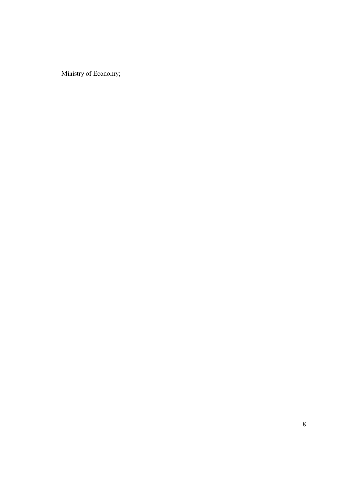Ministry of Economy;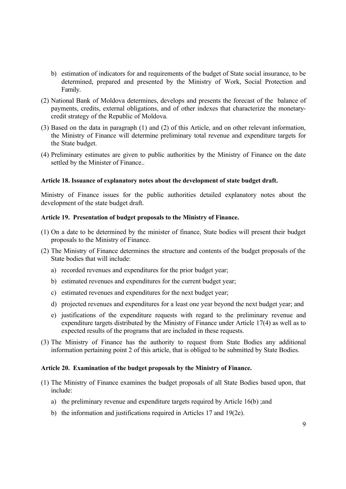- b) estimation of indicators for and requirements of the budget of State social insurance, to be determined, prepared and presented by the Ministry of Work, Social Protection and Family.
- (2) National Bank of Moldova determines, develops and presents the forecast of the balance of payments, credits, external obligations, and of other indexes that characterize the monetarycredit strategy of the Republic of Moldova.
- (3) Based on the data in paragraph (1) and (2) of this Article, and on other relevant information, the Ministry of Finance will determine preliminary total revenue and expenditure targets for the State budget.
- (4) Preliminary estimates are given to public authorities by the Ministry of Finance on the date settled by the Minister of Finance..

### **Article 18. Issuance of explanatory notes about the development of state budget draft.**

Ministry of Finance issues for the public authorities detailed explanatory notes about the development of the state budget draft.

### **Article 19. Presentation of budget proposals to the Ministry of Finance.**

- (1) On a date to be determined by the minister of finance, State bodies will present their budget proposals to the Ministry of Finance.
- (2) The Ministry of Finance determines the structure and contents of the budget proposals of the State bodies that will include:
	- a) recorded revenues and expenditures for the prior budget year;
	- b) estimated revenues and expenditures for the current budget year;
	- c) estimated revenues and expenditures for the next budget year;
	- d) projected revenues and expenditures for a least one year beyond the next budget year; and
	- e) justifications of the expenditure requests with regard to the preliminary revenue and expenditure targets distributed by the Ministry of Finance under Article 17(4) as well as to expected results of the programs that are included in these requests.
- (3) The Ministry of Finance has the authority to request from State Bodies any additional information pertaining point 2 of this article, that is obliged to be submitted by State Bodies.

### **Article 20. Examination of the budget proposals by the Ministry of Finance.**

- (1) The Ministry of Finance examines the budget proposals of all State Bodies based upon, that include:
	- a) the preliminary revenue and expenditure targets required by Article 16(b) ;and
	- b) the information and justifications required in Articles 17 and 19(2e).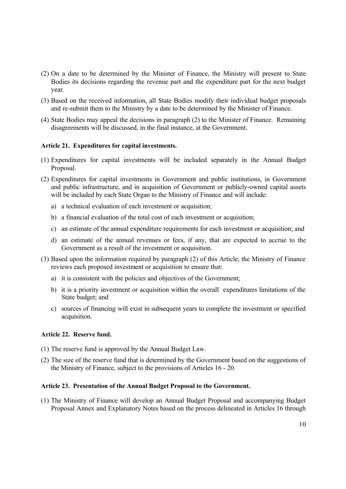- (2) On a date to be determined by the Minister of Finance, the Ministry will present to State Bodies its decisions regarding the revenue part and the expenditure part for the next budget year.
- (3) Based on the received information, all State Bodies modify their individual budget proposals and re-submit them to the Ministry by a date to be determined by the Minister of Finance.
- (4) State Bodies may appeal the decisions in paragraph (2) to the Minister of Finance. Remaining disagreements will be discussed, in the final instance, at the Government.

## **Article 21. Expenditures for capital investments.**

- (1) Expenditures for capital investments will be included separately in the Annual Budget Proposal.
- (2) Expenditures for capital investments in Government and public institutions, in Government and public infrastructure, and in acquisition of Government or publicly-owned capital assets will be included by each State Organ to the Ministry of Finance and will include:
	- a) a technical evaluation of each investment or acquisition;
	- b) a financial evaluation of the total cost of each investment or acquisition;
	- c) an estimate of the annual expenditure requirements for each investment or acquisition; and
	- d) an estimate of the annual revenues or fees, if any, that are expected to accrue to the Government as a result of the investment or acquisition.
- (3) Based upon the information required by paragraph (2) of this Article, the Ministry of Finance reviews each proposed investment or acquisition to ensure that:
	- a) it is consistent with the policies and objectives of the Government;
	- b) it is a priority investment or acquisition within the overall expenditures limitations of the State budget; and
	- c) sources of financing will exist in subsequent years to complete the investment or specified acquisition.

### **Article 22. Reserve fund.**

- (1) The reserve fund is approved by the Annual Budget Law.
- (2) The size of the reserve fund that is determined by the Government based on the suggestions of the Ministry of Finance, subject to the provisions of Articles 16 - 20.

### **Article 23. Presentation of the Annual Budget Proposal to the Government.**

(1) The Ministry of Finance will develop an Annual Budget Proposal and accompanying Budget Proposal Annex and Explanatory Notes based on the process delineated in Articles 16 through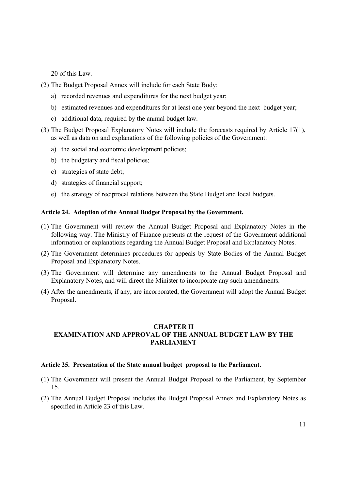20 of this Law.

- (2) The Budget Proposal Annex will include for each State Body:
	- a) recorded revenues and expenditures for the next budget year;
	- b) estimated revenues and expenditures for at least one year beyond the next budget year;
	- c) additional data, required by the annual budget law.
- (3) The Budget Proposal Explanatory Notes will include the forecasts required by Article 17(1), as well as data on and explanations of the following policies of the Government:
	- a) the social and economic development policies;
	- b) the budgetary and fiscal policies;
	- c) strategies of state debt;
	- d) strategies of financial support;
	- e) the strategy of reciprocal relations between the State Budget and local budgets.

### **Article 24. Adoption of the Annual Budget Proposal by the Government.**

- (1) The Government will review the Annual Budget Proposal and Explanatory Notes in the following way. The Ministry of Finance presents at the request of the Government additional information or explanations regarding the Annual Budget Proposal and Explanatory Notes.
- (2) The Government determines procedures for appeals by State Bodies of the Annual Budget Proposal and Explanatory Notes.
- (3) The Government will determine any amendments to the Annual Budget Proposal and Explanatory Notes, and will direct the Minister to incorporate any such amendments.
- (4) After the amendments, if any, are incorporated, the Government will adopt the Annual Budget Proposal.

# **CHAPTER II EXAMINATION AND APPROVAL OF THE ANNUAL BUDGET LAW BY THE PARLIAMENT**

# **Article 25. Presentation of the State annual budget proposal to the Parliament.**

- (1) The Government will present the Annual Budget Proposal to the Parliament, by September 15.
- (2) The Annual Budget Proposal includes the Budget Proposal Annex and Explanatory Notes as specified in Article 23 of this Law.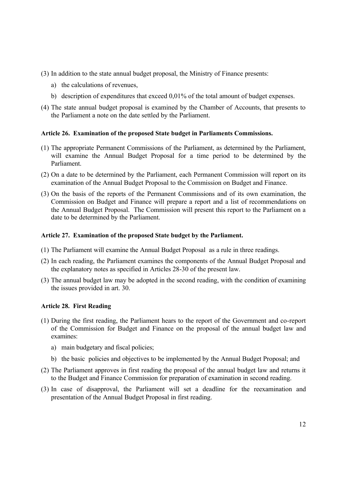- (3) In addition to the state annual budget proposal, the Ministry of Finance presents:
	- a) the calculations of revenues,
	- b) description of expenditures that exceed 0,01% of the total amount of budget expenses.
- (4) The state annual budget proposal is examined by the Chamber of Accounts, that presents to the Parliament a note on the date settled by the Parliament.

# **Article 26. Examination of the proposed State budget in Parliaments Commissions.**

- (1) The appropriate Permanent Commissions of the Parliament, as determined by the Parliament, will examine the Annual Budget Proposal for a time period to be determined by the Parliament.
- (2) On a date to be determined by the Parliament, each Permanent Commission will report on its examination of the Annual Budget Proposal to the Commission on Budget and Finance.
- (3) On the basis of the reports of the Permanent Commissions and of its own examination, the Commission on Budget and Finance will prepare a report and a list of recommendations on the Annual Budget Proposal. The Commission will present this report to the Parliament on a date to be determined by the Parliament.

# **Article 27. Examination of the proposed State budget by the Parliament.**

- (1) The Parliament will examine the Annual Budget Proposal as a rule in three readings.
- (2) In each reading, the Parliament examines the components of the Annual Budget Proposal and the explanatory notes as specified in Articles 28-30 of the present law.
- (3) The annual budget law may be adopted in the second reading, with the condition of examining the issues provided in art. 30.

# **Article 28. First Reading**

- (1) During the first reading, the Parliament hears to the report of the Government and co-report of the Commission for Budget and Finance on the proposal of the annual budget law and examines:
	- a) main budgetary and fiscal policies;
	- b) the basic policies and objectives to be implemented by the Annual Budget Proposal; and
- (2) The Parliament approves in first reading the proposal of the annual budget law and returns it to the Budget and Finance Commission for preparation of examination in second reading.
- (3) In case of disapproval, the Parliament will set a deadline for the reexamination and presentation of the Annual Budget Proposal in first reading.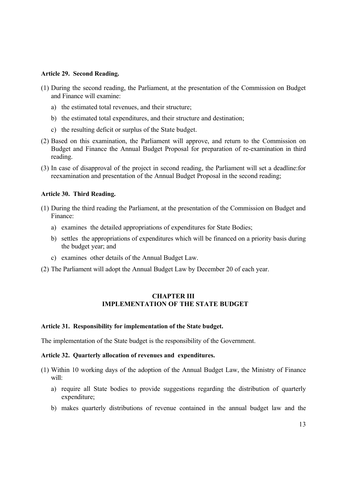#### **Article 29. Second Reading.**

- (1) During the second reading, the Parliament, at the presentation of the Commission on Budget and Finance will examine:
	- a) the estimated total revenues, and their structure;
	- b) the estimated total expenditures, and their structure and destination;
	- c) the resulting deficit or surplus of the State budget.
- (2) Based on this examination, the Parliament will approve, and return to the Commission on Budget and Finance the Annual Budget Proposal for preparation of re-examination in third reading.
- (3) In case of disapproval of the project in second reading, the Parliament will set a deadline:for reexamination and presentation of the Annual Budget Proposal in the second reading;

### **Article 30. Third Reading.**

- (1) During the third reading the Parliament, at the presentation of the Commission on Budget and Finance:
	- a) examines the detailed appropriations of expenditures for State Bodies;
	- b) settles the appropriations of expenditures which will be financed on a priority basis during the budget year; and
	- c) examines other details of the Annual Budget Law.
- (2) The Parliament will adopt the Annual Budget Law by December 20 of each year.

# **CHAPTER III IMPLEMENTATION OF THE STATE BUDGET**

## **Article 31. Responsibility for implementation of the State budget.**

The implementation of the State budget is the responsibility of the Government.

#### **Article 32. Quarterly allocation of revenues and expenditures.**

- (1) Within 10 working days of the adoption of the Annual Budget Law, the Ministry of Finance will:
	- a) require all State bodies to provide suggestions regarding the distribution of quarterly expenditure;
	- b) makes quarterly distributions of revenue contained in the annual budget law and the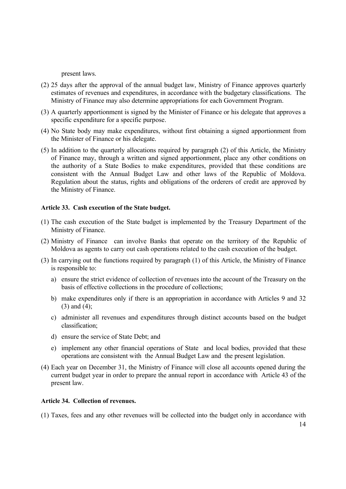present laws.

- (2) 25 days after the approval of the annual budget law, Ministry of Finance approves quarterly estimates of revenues and expenditures, in accordance with the budgetary classifications. The Ministry of Finance may also determine appropriations for each Government Program.
- (3) A quarterly apportionment is signed by the Minister of Finance or his delegate that approves a specific expenditure for a specific purpose.
- (4) No State body may make expenditures, without first obtaining a signed apportionment from the Minister of Finance or his delegate.
- (5) In addition to the quarterly allocations required by paragraph (2) of this Article, the Ministry of Finance may, through a written and signed apportionment, place any other conditions on the authority of a State Bodies to make expenditures, provided that these conditions are consistent with the Annual Budget Law and other laws of the Republic of Moldova. Regulation about the status, rights and obligations of the orderers of credit are approved by the Ministry of Finance.

## **Article 33. Cash execution of the State budget.**

- (1) The cash execution of the State budget is implemented by the Treasury Department of the Ministry of Finance.
- (2) Ministry of Finance can involve Banks that operate on the territory of the Republic of Moldova as agents to carry out cash operations related to the cash execution of the budget.
- (3) In carrying out the functions required by paragraph (1) of this Article, the Ministry of Finance is responsible to:
	- a) ensure the strict evidence of collection of revenues into the account of the Treasury on the basis of effective collections in the procedure of collections;
	- b) make expenditures only if there is an appropriation in accordance with Articles 9 and 32 (3) and (4);
	- c) administer all revenues and expenditures through distinct accounts based on the budget classification;
	- d) ensure the service of State Debt; and
	- e) implement any other financial operations of State and local bodies, provided that these operations are consistent with the Annual Budget Law and the present legislation.
- (4) Each year on December 31, the Ministry of Finance will close all accounts opened during the current budget year in order to prepare the annual report in accordance with Article 43 of the present law.

### **Article 34. Collection of revenues.**

(1) Taxes, fees and any other revenues will be collected into the budget only in accordance with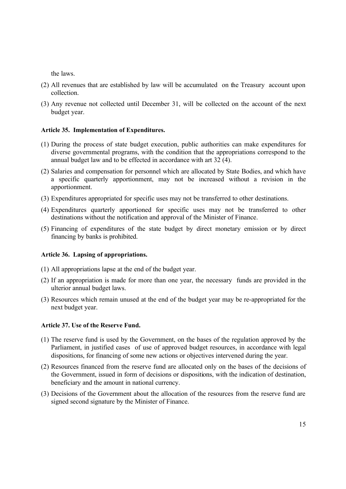the laws.

- (2) All revenues that are established by law will be accumulated on the Treasury account upon collection.
- (3) Any revenue not collected until December 31, will be collected on the account of the next budget year.

# **Article 35. Implementation of Expenditures.**

- (1) During the process of state budget execution, public authorities can make expenditures for diverse governmental programs, with the condition that the appropriations correspond to the annual budget law and to be effected in accordance with art 32 (4).
- (2) Salaries and compensation for personnel which are allocated by State Bodies, and which have a specific quarterly apportionment, may not be increased without a revision in the apportionment.
- (3) Expenditures appropriated for specific uses may not be transferred to other destinations.
- (4) Expenditures quarterly apportioned for specific uses may not be transferred to other destinations without the notification and approval of the Minister of Finance.
- (5) Financing of expenditures of the state budget by direct monetary emission or by direct financing by banks is prohibited.

# **Article 36. Lapsing of appropriations.**

- (1) All appropriations lapse at the end of the budget year.
- (2) If an appropriation is made for more than one year, the necessary funds are provided in the ulterior annual budget laws.
- (3) Resources which remain unused at the end of the budget year may be re-appropriated for the next budget year.

# **Article 37. Use of the Reserve Fund.**

- (1) The reserve fund is used by the Government, on the bases of the regulation approved by the Parliament, in justified cases of use of approved budget resources, in accordance with legal dispositions, for financing of some new actions or objectives intervened during the year.
- (2) Resources financed from the reserve fund are allocated only on the bases of the decisions of the Government, issued in form of decisions or dispositions, with the indication of destination, beneficiary and the amount in national currency.
- (3) Decisions of the Government about the allocation of the resources from the reserve fund are signed second signature by the Minister of Finance.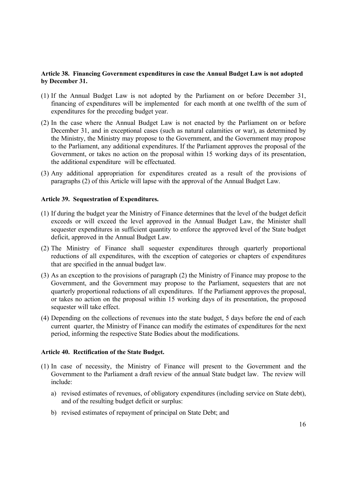# **Article 38. Financing Government expenditures in case the Annual Budget Law is not adopted by December 31.**

- (1) If the Annual Budget Law is not adopted by the Parliament on or before December 31, financing of expenditures will be implemented for each month at one twelfth of the sum of expenditures for the preceding budget year.
- (2) In the case where the Annual Budget Law is not enacted by the Parliament on or before December 31, and in exceptional cases (such as natural calamities or war), as determined by the Ministry, the Ministry may propose to the Government, and the Government may propose to the Parliament, any additional expenditures. If the Parliament approves the proposal of the Government, or takes no action on the proposal within 15 working days of its presentation, the additional expenditure will be effectuated.
- (3) Any additional appropriation for expenditures created as a result of the provisions of paragraphs (2) of this Article will lapse with the approval of the Annual Budget Law.

## **Article 39. Sequestration of Expenditures.**

- (1) If during the budget year the Ministry of Finance determines that the level of the budget deficit exceeds or will exceed the level approved in the Annual Budget Law, the Minister shall sequester expenditures in sufficient quantity to enforce the approved level of the State budget deficit, approved in the Annual Budget Law.
- (2) The Ministry of Finance shall sequester expenditures through quarterly proportional reductions of all expenditures, with the exception of categories or chapters of expenditures that are specified in the annual budget law.
- (3) As an exception to the provisions of paragraph (2) the Ministry of Finance may propose to the Government, and the Government may propose to the Parliament, sequesters that are not quarterly proportional reductions of all expenditures. If the Parliament approves the proposal, or takes no action on the proposal within 15 working days of its presentation, the proposed sequester will take effect.
- (4) Depending on the collections of revenues into the state budget, 5 days before the end of each current quarter, the Ministry of Finance can modify the estimates of expenditures for the next period, informing the respective State Bodies about the modifications.

### **Article 40. Rectification of the State Budget.**

- (1) In case of necessity, the Ministry of Finance will present to the Government and the Government to the Parliament a draft review of the annual State budget law. The review will include:
	- a) revised estimates of revenues, of obligatory expenditures (including service on State debt), and of the resulting budget deficit or surplus:
	- b) revised estimates of repayment of principal on State Debt; and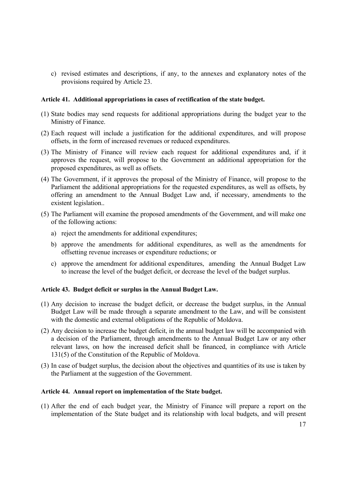c) revised estimates and descriptions, if any, to the annexes and explanatory notes of the provisions required by Article 23.

### **Article 41. Additional appropriations in cases of rectification of the state budget.**

- (1) State bodies may send requests for additional appropriations during the budget year to the Ministry of Finance.
- (2) Each request will include a justification for the additional expenditures, and will propose offsets, in the form of increased revenues or reduced expenditures.
- (3) The Ministry of Finance will review each request for additional expenditures and, if it approves the request, will propose to the Government an additional appropriation for the proposed expenditures, as well as offsets.
- (4) The Government, if it approves the proposal of the Ministry of Finance, will propose to the Parliament the additional appropriations for the requested expenditures, as well as offsets, by offering an amendment to the Annual Budget Law and, if necessary, amendments to the existent legislation..
- (5) The Parliament will examine the proposed amendments of the Government, and will make one of the following actions:
	- a) reject the amendments for additional expenditures;
	- b) approve the amendments for additional expenditures, as well as the amendments for offsetting revenue increases or expenditure reductions; or
	- c) approve the amendment for additional expenditures, amending the Annual Budget Law to increase the level of the budget deficit, or decrease the level of the budget surplus.

# **Article 43. Budget deficit or surplus in the Annual Budget Law.**

- (1) Any decision to increase the budget deficit, or decrease the budget surplus, in the Annual Budget Law will be made through a separate amendment to the Law, and will be consistent with the domestic and external obligations of the Republic of Moldova.
- (2) Any decision to increase the budget deficit, in the annual budget law will be accompanied with a decision of the Parliament, through amendments to the Annual Budget Law or any other relevant laws, on how the increased deficit shall be financed, in compliance with Article 131(5) of the Constitution of the Republic of Moldova.
- (3) In case of budget surplus, the decision about the objectives and quantities of its use is taken by the Parliament at the suggestion of the Government.

### **Article 44. Annual report on implementation of the State budget.**

(1) After the end of each budget year, the Ministry of Finance will prepare a report on the implementation of the State budget and its relationship with local budgets, and will present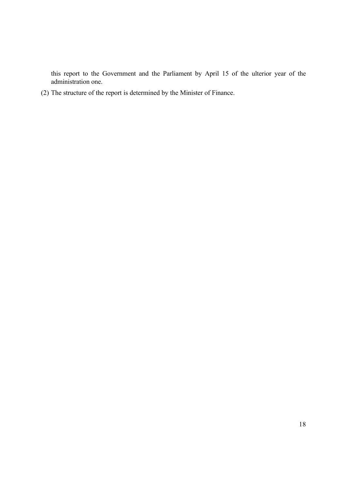this report to the Government and the Parliament by April 15 of the ulterior year of the administration one.

(2) The structure of the report is determined by the Minister of Finance.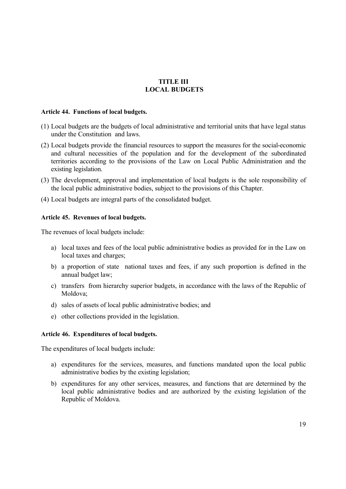# **TITLE III LOCAL BUDGETS**

#### **Article 44. Functions of local budgets.**

- (1) Local budgets are the budgets of local administrative and territorial units that have legal status under the Constitution and laws.
- (2) Local budgets provide the financial resources to support the measures for the social-economic and cultural necessities of the population and for the development of the subordinated territories according to the provisions of the Law on Local Public Administration and the existing legislation.
- (3) The development, approval and implementation of local budgets is the sole responsibility of the local public administrative bodies, subject to the provisions of this Chapter.
- (4) Local budgets are integral parts of the consolidated budget.

## **Article 45. Revenues of local budgets.**

The revenues of local budgets include:

- a) local taxes and fees of the local public administrative bodies as provided for in the Law on local taxes and charges;
- b) a proportion of state national taxes and fees, if any such proportion is defined in the annual budget law;
- c) transfers from hierarchy superior budgets, in accordance with the laws of the Republic of Moldova;
- d) sales of assets of local public administrative bodies; and
- e) other collections provided in the legislation.

### **Article 46. Expenditures of local budgets.**

The expenditures of local budgets include:

- a) expenditures for the services, measures, and functions mandated upon the local public administrative bodies by the existing legislation;
- b) expenditures for any other services, measures, and functions that are determined by the local public administrative bodies and are authorized by the existing legislation of the Republic of Moldova.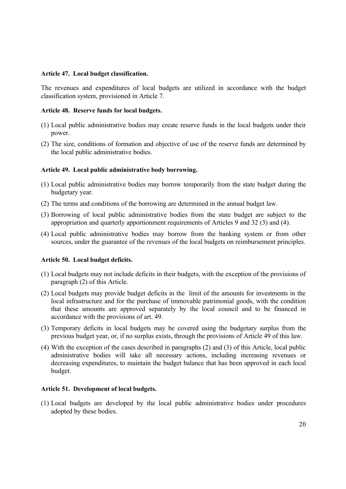### **Article 47. Local budget classification.**

The revenues and expenditures of local budgets are utilized in accordance with the budget classification system, provisioned in Article 7.

# **Article 48. Reserve funds for local budgets.**

- (1) Local public administrative bodies may create reserve funds in the local budgets under their power.
- (2) The size, conditions of formation and objective of use of the reserve funds are determined by the local public administrative bodies.

# **Article 49. Local public administrative body borrowing.**

- (1) Local public administrative bodies may borrow temporarily from the state budget during the budgetary year.
- (2) The terms and conditions of the borrowing are determined in the annual budget law.
- (3) Borrowing of local public administrative bodies from the state budget are subject to the appropriation and quarterly apportionment requirements of Articles 9 and 32 (3) and (4).
- (4) Local public administrative bodies may borrow from the banking system or from other sources, under the guarantee of the revenues of the local budgets on reimbursement principles.

### **Article 50. Local budget deficits.**

- (1) Local budgets may not include deficits in their budgets, with the exception of the provisions of paragraph (2) of this Article.
- (2) Local budgets may provide budget deficits in the limit of the amounts for investments in the local infrastructure and for the purchase of immovable patrimonial goods, with the condition that these amounts are approved separately by the local council and to be financed in accordance with the provisions of art. 49.
- (3) Temporary deficits in local budgets may be covered using the budgetary surplus from the previous budget year, or, if no surplus exists, through the provisions of Article 49 of this law.
- (4) With the exception of the cases described in paragraphs (2) and (3) of this Article, local public administrative bodies will take all necessary actions, including increasing revenues or decreasing expenditures, to maintain the budget balance that has been approved in each local budget.

### **Article 51. Development of local budgets.**

(1) Local budgets are developed by the local public administrative bodies under procedures adopted by these bodies.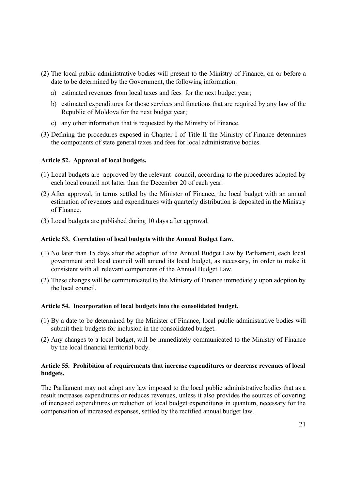- (2) The local public administrative bodies will present to the Ministry of Finance, on or before a date to be determined by the Government, the following information:
	- a) estimated revenues from local taxes and fees for the next budget year;
	- b) estimated expenditures for those services and functions that are required by any law of the Republic of Moldova for the next budget year;
	- c) any other information that is requested by the Ministry of Finance.
- (3) Defining the procedures exposed in Chapter I of Title II the Ministry of Finance determines the components of state general taxes and fees for local administrative bodies.

## **Article 52. Approval of local budgets.**

- (1) Local budgets are approved by the relevant council, according to the procedures adopted by each local council not latter than the December 20 of each year.
- (2) After approval, in terms settled by the Minister of Finance, the local budget with an annual estimation of revenues and expenditures with quarterly distribution is deposited in the Ministry of Finance.
- (3) Local budgets are published during 10 days after approval.

## **Article 53. Correlation of local budgets with the Annual Budget Law.**

- (1) No later than 15 days after the adoption of the Annual Budget Law by Parliament, each local government and local council will amend its local budget, as necessary, in order to make it consistent with all relevant components of the Annual Budget Law.
- (2) These changes will be communicated to the Ministry of Finance immediately upon adoption by the local council.

### **Article 54. Incorporation of local budgets into the consolidated budget.**

- (1) By a date to be determined by the Minister of Finance, local public administrative bodies will submit their budgets for inclusion in the consolidated budget.
- (2) Any changes to a local budget, will be immediately communicated to the Ministry of Finance by the local financial territorial body.

# **Article 55. Prohibition of requirements that increase expenditures or decrease revenues of local budgets.**

The Parliament may not adopt any law imposed to the local public administrative bodies that as a result increases expenditures or reduces revenues, unless it also provides the sources of covering of increased expenditures or reduction of local budget expenditures in quantum, necessary for the compensation of increased expenses, settled by the rectified annual budget law.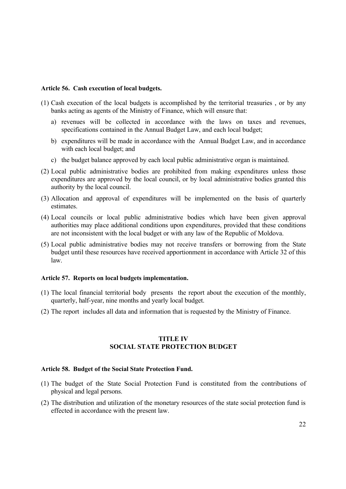#### **Article 56. Cash execution of local budgets.**

- (1) Cash execution of the local budgets is accomplished by the territorial treasuries , or by any banks acting as agents of the Ministry of Finance, which will ensure that:
	- a) revenues will be collected in accordance with the laws on taxes and revenues, specifications contained in the Annual Budget Law, and each local budget;
	- b) expenditures will be made in accordance with the Annual Budget Law, and in accordance with each local budget; and
	- c) the budget balance approved by each local public administrative organ is maintained.
- (2) Local public administrative bodies are prohibited from making expenditures unless those expenditures are approved by the local council, or by local administrative bodies granted this authority by the local council.
- (3) Allocation and approval of expenditures will be implemented on the basis of quarterly estimates.
- (4) Local councils or local public administrative bodies which have been given approval authorities may place additional conditions upon expenditures, provided that these conditions are not inconsistent with the local budget or with any law of the Republic of Moldova.
- (5) Local public administrative bodies may not receive transfers or borrowing from the State budget until these resources have received apportionment in accordance with Article 32 of this law.

#### **Article 57. Reports on local budgets implementation.**

- (1) The local financial territorial body presents the report about the execution of the monthly, quarterly, half-year, nine months and yearly local budget.
- (2) The report includes all data and information that is requested by the Ministry of Finance.

# **TITLE IV SOCIAL STATE PROTECTION BUDGET**

#### **Article 58. Budget of the Social State Protection Fund.**

- (1) The budget of the State Social Protection Fund is constituted from the contributions of physical and legal persons.
- (2) The distribution and utilization of the monetary resources of the state social protection fund is effected in accordance with the present law.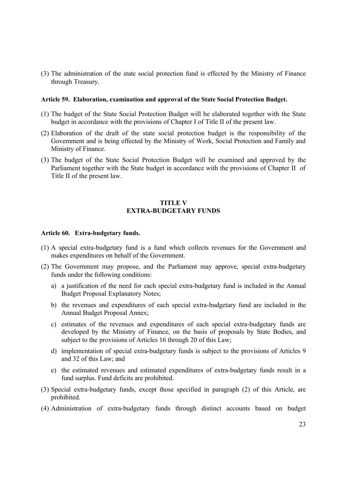(3) The administration of the state social protection fund is effected by the Ministry of Finance through Treasury.

#### **Article 59. Elaboration, examination and approval of the State Social Protection Budget.**

- (1) The budget of the State Social Protection Budget will be elaborated together with the State budget in accordance with the provisions of Chapter I of Title II of the present law.
- (2) Elaboration of the draft of the state social protection budget is the responsibility of the Government and is being effected by the Ministry of Work, Social Protection and Family and Ministry of Finance.
- (3) The budget of the State Social Protection Budget will be examined and approved by the Parliament together with the State budget in accordance with the provisions of Chapter II of Title II of the present law.

# **TITLE V EXTRA-BUDGETARY FUNDS**

#### **Article 60. Extra-budgetary funds.**

- (1) A special extra-budgetary fund is a fund which collects revenues for the Government and makes expenditures on behalf of the Government.
- (2) The Government may propose, and the Parliament may approve, special extra-budgetary funds under the following conditions:
	- a) a justification of the need for each special extra-budgetary fund is included in the Annual Budget Proposal Explanatory Notes;
	- b) the revenues and expenditures of each special extra-budgetary fund are included in the Annual Budget Proposal Annex;
	- c) estimates of the revenues and expenditures of each special extra-budgetary funds are developed by the Ministry of Finance, on the basis of proposals by State Bodies, and subject to the provisions of Articles 16 through 20 of this Law;
	- d) implementation of special extra-budgetary funds is subject to the provisions of Articles 9 and 32 of this Law; and
	- e) the estimated revenues and estimated expenditures of extra-budgetary funds result in a fund surplus. Fund deficits are prohibited.
- (3) Special extra-budgetary funds, except those specified in paragraph (2) of this Article, are prohibited.
- (4) Administration of extra-budgetary funds through distinct accounts based on budget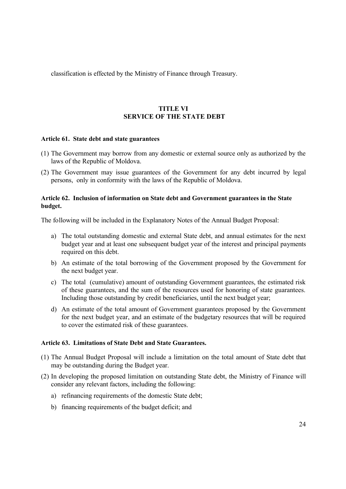classification is effected by the Ministry of Finance through Treasury.

# **TITLE VI SERVICE OF THE STATE DEBT**

## **Article 61. State debt and state guarantees**

- (1) The Government may borrow from any domestic or external source only as authorized by the laws of the Republic of Moldova.
- (2) The Government may issue guarantees of the Government for any debt incurred by legal persons, only in conformity with the laws of the Republic of Moldova.

# **Article 62. Inclusion of information on State debt and Government guarantees in the State budget.**

The following will be included in the Explanatory Notes of the Annual Budget Proposal:

- a) The total outstanding domestic and external State debt, and annual estimates for the next budget year and at least one subsequent budget year of the interest and principal payments required on this debt.
- b) An estimate of the total borrowing of the Government proposed by the Government for the next budget year.
- c) The total (cumulative) amount of outstanding Government guarantees, the estimated risk of these guarantees, and the sum of the resources used for honoring of state guarantees. Including those outstanding by credit beneficiaries, until the next budget year;
- d) An estimate of the total amount of Government guarantees proposed by the Government for the next budget year, and an estimate of the budgetary resources that will be required to cover the estimated risk of these guarantees.

### **Article 63. Limitations of State Debt and State Guarantees.**

- (1) The Annual Budget Proposal will include a limitation on the total amount of State debt that may be outstanding during the Budget year.
- (2) In developing the proposed limitation on outstanding State debt, the Ministry of Finance will consider any relevant factors, including the following:
	- a) refinancing requirements of the domestic State debt;
	- b) financing requirements of the budget deficit; and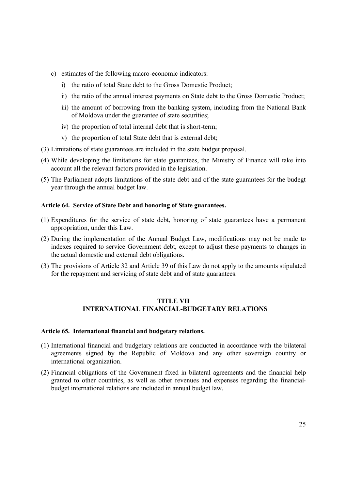- c) estimates of the following macro-economic indicators:
	- i) the ratio of total State debt to the Gross Domestic Product;
	- ii) the ratio of the annual interest payments on State debt to the Gross Domestic Product;
	- iii) the amount of borrowing from the banking system, including from the National Bank of Moldova under the guarantee of state securities;
	- iv) the proportion of total internal debt that is short-term;
	- v) the proportion of total State debt that is external debt;
- (3) Limitations of state guarantees are included in the state budget proposal.
- (4) While developing the limitations for state guarantees, the Ministry of Finance will take into account all the relevant factors provided in the legislation.
- (5) The Parliament adopts limitations of the state debt and of the state guarantees for the budegt year through the annual budget law.

### **Article 64. Service of State Debt and honoring of State guarantees.**

- (1) Expenditures for the service of state debt, honoring of state guarantees have a permanent appropriation, under this Law.
- (2) During the implementation of the Annual Budget Law, modifications may not be made to indexes required to service Government debt, except to adjust these payments to changes in the actual domestic and external debt obligations.
- (3) The provisions of Article 32 and Article 39 of this Law do not apply to the amounts stipulated for the repayment and servicing of state debt and of state guarantees.

# **TITLE VII INTERNATIONAL FINANCIAL-BUDGETARY RELATIONS**

# **Article 65. International financial and budgetary relations.**

- (1) International financial and budgetary relations are conducted in accordance with the bilateral agreements signed by the Republic of Moldova and any other sovereign country or international organization.
- (2) Financial obligations of the Government fixed in bilateral agreements and the financial help granted to other countries, as well as other revenues and expenses regarding the financialbudget international relations are included in annual budget law.